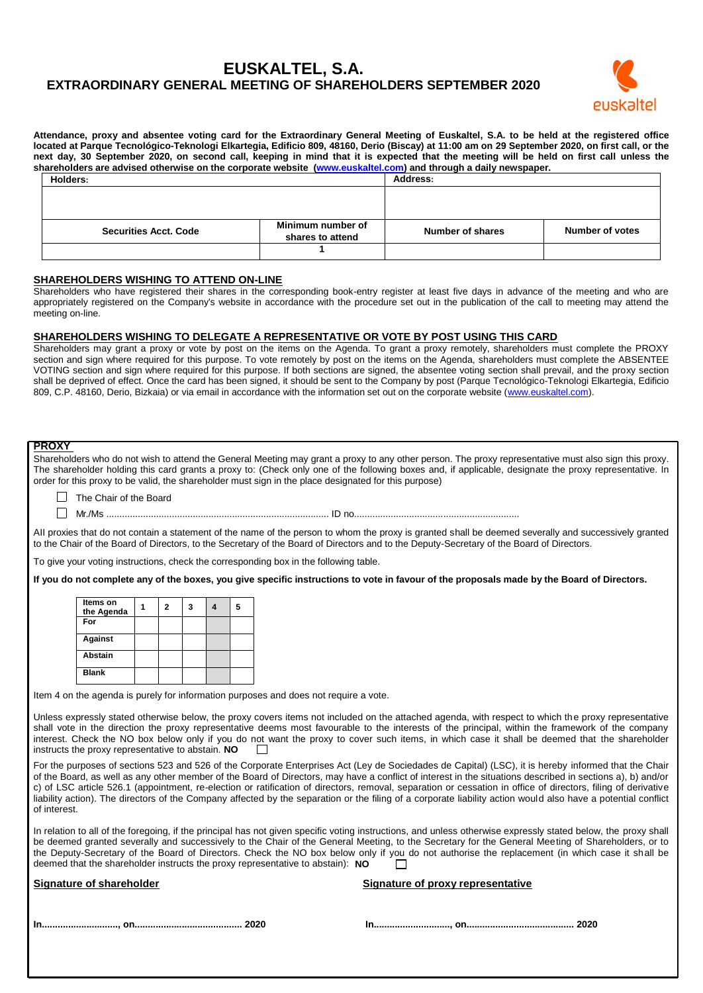# **EUSKALTEL, S.A. EXTRAORDINARY GENERAL MEETING OF SHAREHOLDERS SEPTEMBER 2020**



**Attendance, proxy and absentee voting card for the Extraordinary General Meeting of Euskaltel, S.A. to be held at the registered office located at Parque Tecnológico-Teknologi Elkartegia, Edificio 809, 48160, Derio (Biscay) at 11:00 am on 29 September 2020, on first call, or the next day, 30 September 2020, on second call, keeping in mind that it is expected that the meeting will be held on first call unless the shareholders are advised otherwise on the corporate website [\(www.euskaltel.com\)](http://www.euskaltel.com/) and through a daily newspaper.**

| Holders:                     | <b>Address:</b>   |                  |                 |  |
|------------------------------|-------------------|------------------|-----------------|--|
|                              |                   |                  |                 |  |
|                              |                   |                  |                 |  |
|                              |                   |                  |                 |  |
| <b>Securities Acct. Code</b> | Minimum number of | Number of shares | Number of votes |  |
|                              | shares to attend  |                  |                 |  |
|                              |                   |                  |                 |  |
|                              |                   |                  |                 |  |

## **SHAREHOLDERS WISHING TO ATTEND ON-LINE**

Shareholders who have registered their shares in the corresponding book-entry register at least five days in advance of the meeting and who are appropriately registered on the Company's website in accordance with the procedure set out in the publication of the call to meeting may attend the meeting on-line.

### **SHAREHOLDERS WISHING TO DELEGATE A REPRESENTATIVE OR VOTE BY POST USING THIS CARD**

Shareholders may grant a proxy or vote by post on the items on the Agenda. To grant a proxy remotely, shareholders must complete the PROXY section and sign where required for this purpose. To vote remotely by post on the items on the Agenda, shareholders must complete the ABSENTEE VOTING section and sign where required for this purpose. If both sections are signed, the absentee voting section shall prevail, and the proxy section shall be deprived of effect. Once the card has been signed, it should be sent to the Company by post (Parque Tecnológico-Teknologi Elkartegia, Edificio 809, C.P. 48160, Derio, Bizkaia) or via email in accordance with the information set out on the corporate website [\(www.euskaltel.com\)](http://www.euskaltel.com/).

| <b>PROXY</b><br>Shareholders who do not wish to attend the General Meeting may grant a proxy to any other person. The proxy representative must also sign this proxy.<br>The shareholder holding this card grants a proxy to: (Check only one of the following boxes and, if applicable, designate the proxy representative. In<br>order for this proxy to be valid, the shareholder must sign in the place designated for this purpose)                                                                                                                                                                                                                             |                                                                                                                                            |              |                |   |   |   |                                   |
|----------------------------------------------------------------------------------------------------------------------------------------------------------------------------------------------------------------------------------------------------------------------------------------------------------------------------------------------------------------------------------------------------------------------------------------------------------------------------------------------------------------------------------------------------------------------------------------------------------------------------------------------------------------------|--------------------------------------------------------------------------------------------------------------------------------------------|--------------|----------------|---|---|---|-----------------------------------|
| The Chair of the Board                                                                                                                                                                                                                                                                                                                                                                                                                                                                                                                                                                                                                                               |                                                                                                                                            |              |                |   |   |   |                                   |
|                                                                                                                                                                                                                                                                                                                                                                                                                                                                                                                                                                                                                                                                      |                                                                                                                                            |              |                |   |   |   |                                   |
| All proxies that do not contain a statement of the name of the person to whom the proxy is granted shall be deemed severally and successively granted<br>to the Chair of the Board of Directors, to the Secretary of the Board of Directors and to the Deputy-Secretary of the Board of Directors.                                                                                                                                                                                                                                                                                                                                                                   |                                                                                                                                            |              |                |   |   |   |                                   |
|                                                                                                                                                                                                                                                                                                                                                                                                                                                                                                                                                                                                                                                                      | To give your voting instructions, check the corresponding box in the following table.                                                      |              |                |   |   |   |                                   |
|                                                                                                                                                                                                                                                                                                                                                                                                                                                                                                                                                                                                                                                                      | If you do not complete any of the boxes, you give specific instructions to vote in favour of the proposals made by the Board of Directors. |              |                |   |   |   |                                   |
| Items on                                                                                                                                                                                                                                                                                                                                                                                                                                                                                                                                                                                                                                                             |                                                                                                                                            |              |                |   |   |   |                                   |
| the Agenda<br>For                                                                                                                                                                                                                                                                                                                                                                                                                                                                                                                                                                                                                                                    |                                                                                                                                            | $\mathbf{1}$ | $\overline{2}$ | 3 | 4 | 5 |                                   |
| Against                                                                                                                                                                                                                                                                                                                                                                                                                                                                                                                                                                                                                                                              |                                                                                                                                            |              |                |   |   |   |                                   |
| Abstain                                                                                                                                                                                                                                                                                                                                                                                                                                                                                                                                                                                                                                                              |                                                                                                                                            |              |                |   |   |   |                                   |
| <b>Blank</b>                                                                                                                                                                                                                                                                                                                                                                                                                                                                                                                                                                                                                                                         |                                                                                                                                            |              |                |   |   |   |                                   |
|                                                                                                                                                                                                                                                                                                                                                                                                                                                                                                                                                                                                                                                                      |                                                                                                                                            |              |                |   |   |   |                                   |
|                                                                                                                                                                                                                                                                                                                                                                                                                                                                                                                                                                                                                                                                      | Item 4 on the agenda is purely for information purposes and does not require a vote.                                                       |              |                |   |   |   |                                   |
| Unless expressly stated otherwise below, the proxy covers items not included on the attached agenda, with respect to which the proxy representative<br>shall vote in the direction the proxy representative deems most favourable to the interests of the principal, within the framework of the company<br>interest. Check the NO box below only if you do not want the proxy to cover such items, in which case it shall be deemed that the shareholder<br>instructs the proxy representative to abstain. NO                                                                                                                                                       |                                                                                                                                            |              |                |   |   |   |                                   |
| For the purposes of sections 523 and 526 of the Corporate Enterprises Act (Ley de Sociedades de Capital) (LSC), it is hereby informed that the Chair<br>of the Board, as well as any other member of the Board of Directors, may have a conflict of interest in the situations described in sections a), b) and/or<br>c) of LSC article 526.1 (appointment, re-election or ratification of directors, removal, separation or cessation in office of directors, filing of derivative<br>liability action). The directors of the Company affected by the separation or the filing of a corporate liability action would also have a potential conflict<br>of interest. |                                                                                                                                            |              |                |   |   |   |                                   |
| In relation to all of the foregoing, if the principal has not given specific voting instructions, and unless otherwise expressly stated below, the proxy shall<br>be deemed granted severally and successively to the Chair of the General Meeting, to the Secretary for the General Meeting of Shareholders, or to<br>the Deputy-Secretary of the Board of Directors. Check the NO box below only if you do not authorise the replacement (in which case it shall be<br>deemed that the shareholder instructs the proxy representative to abstain): NO                                                                                                              |                                                                                                                                            |              |                |   |   |   |                                   |
| <b>Signature of shareholder</b>                                                                                                                                                                                                                                                                                                                                                                                                                                                                                                                                                                                                                                      |                                                                                                                                            |              |                |   |   |   | Signature of proxy representative |
|                                                                                                                                                                                                                                                                                                                                                                                                                                                                                                                                                                                                                                                                      |                                                                                                                                            |              |                |   |   |   |                                   |
|                                                                                                                                                                                                                                                                                                                                                                                                                                                                                                                                                                                                                                                                      |                                                                                                                                            |              |                |   |   |   |                                   |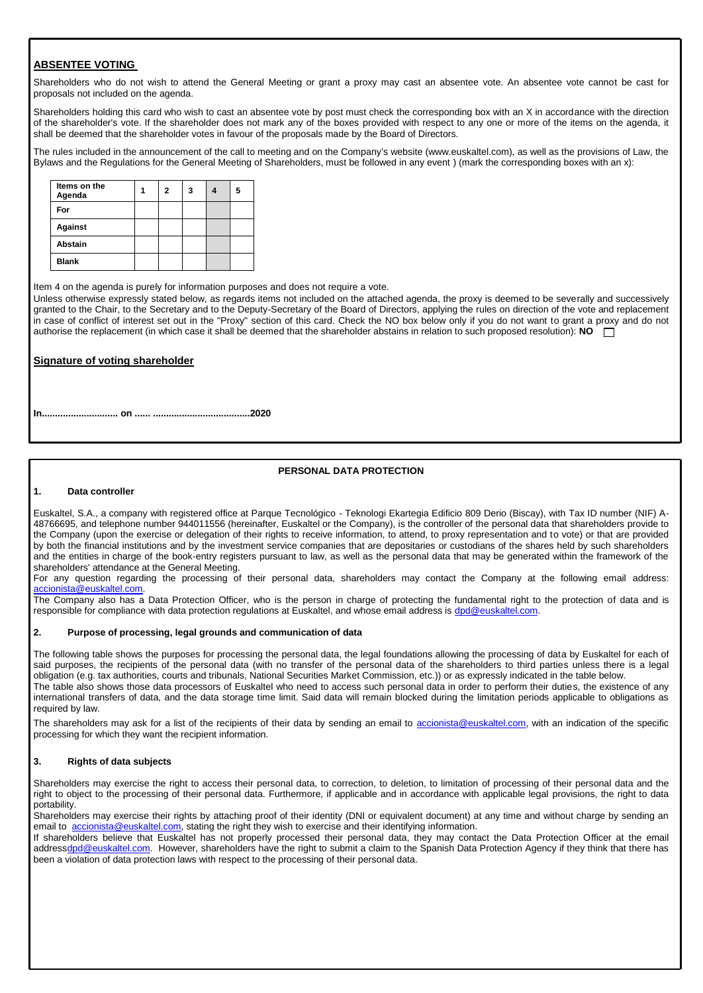## **ABSENTEE VOTING**

Shareholders who do not wish to attend the General Meeting or grant a proxy may cast an absentee vote. An absentee vote cannot be cast for proposals not included on the agenda.

Shareholders holding this card who wish to cast an absentee vote by post must check the corresponding box with an X in accordance with the direction of the shareholder's vote. If the shareholder does not mark any of the boxes provided with respect to any one or more of the items on the agenda, it shall be deemed that the shareholder votes in favour of the proposals made by the Board of Directors.

The rules included in the announcement of the call to meeting and on the Company's website (www.euskaltel.com), as well as the provisions of Law, the Bylaws and the Regulations for the General Meeting of Shareholders, must be followed in any event ) (mark the corresponding boxes with an x):

| Items on the<br>Agenda | 2 | 3 | 5 |
|------------------------|---|---|---|
| For                    |   |   |   |
| Against                |   |   |   |
| <b>Abstain</b>         |   |   |   |
| <b>Blank</b>           |   |   |   |

Item 4 on the agenda is purely for information purposes and does not require a vote.

Unless otherwise expressly stated below, as regards items not included on the attached agenda, the proxy is deemed to be severally and successively granted to the Chair, to the Secretary and to the Deputy-Secretary of the Board of Directors, applying the rules on direction of the vote and replacement in case of conflict of interest set out in the "Proxy" section of this card. Check the NO box below only if you do not want to grant a proxy and do not authorise the replacement (in which case it shall be deemed that the shareholder abstains in relation to such proposed resolution): **NO**

## **Signature of voting shareholder**

**In............................. on ...... .....................................2020**

## **PERSONAL DATA PROTECTION**

#### **1. Data controller**

Euskaltel, S.A., a company with registered office at Parque Tecnológico - Teknologi Ekartegia Edificio 809 Derio (Biscay), with Tax ID number (NIF) A-48766695, and telephone number 944011556 (hereinafter, Euskaltel or the Company), is the controller of the personal data that shareholders provide to the Company (upon the exercise or delegation of their rights to receive information, to attend, to proxy representation and to vote) or that are provided by both the financial institutions and by the investment service companies that are depositaries or custodians of the shares held by such shareholders and the entities in charge of the book-entry registers pursuant to law, as well as the personal data that may be generated within the framework of the shareholders' attendance at the General Meeting.

For any question regarding the processing of their personal data, shareholders may contact the Company at the following email address: [accionista@euskaltel.com.](mailto:accionista@euskaltel.com)

The Company also has a Data Protection Officer, who is the person in charge of protecting the fundamental right to the protection of data and is responsible for compliance with data protection regulations at Euskaltel, and whose email address i[s dpd@euskaltel.com.](mailto:dpd@euskaltel.com)

#### **2. Purpose of processing, legal grounds and communication of data**

The following table shows the purposes for processing the personal data, the legal foundations allowing the processing of data by Euskaltel for each of said purposes, the recipients of the personal data (with no transfer of the personal data of the shareholders to third parties unless there is a legal obligation (e.g. tax authorities, courts and tribunals, National Securities Market Commission, etc.)) or as expressly indicated in the table below. The table also shows those data processors of Euskaltel who need to access such personal data in order to perform their duties, the existence of any international transfers of data, and the data storage time limit. Said data will remain blocked during the limitation periods applicable to obligations as required by law.

The shareholders may ask for a list of the recipients of their data by sending an email to [accionista@euskaltel.com,](mailto:accionista@euskaltel.com) with an indication of the specific processing for which they want the recipient information.

## **3. Rights of data subjects**

Shareholders may exercise the right to access their personal data, to correction, to deletion, to limitation of processing of their personal data and the right to object to the processing of their personal data. Furthermore, if applicable and in accordance with applicable legal provisions, the right to data portability.

Shareholders may exercise their rights by attaching proof of their identity (DNI or equivalent document) at any time and without charge by sending an email to [accionista@euskaltel.com,](mailto:accionista@euskaltel.com) stating the right they wish to exercise and their identifying information.

If shareholders believe that Euskaltel has not properly processed their personal data, they may contact the Data Protection Officer at the email addres[sdpd@euskaltel.com.](mailto:dpd@euskaltel.com) However, shareholders have the right to submit a claim to the Spanish Data Protection Agency if they think that there has been a violation of data protection laws with respect to the processing of their personal data.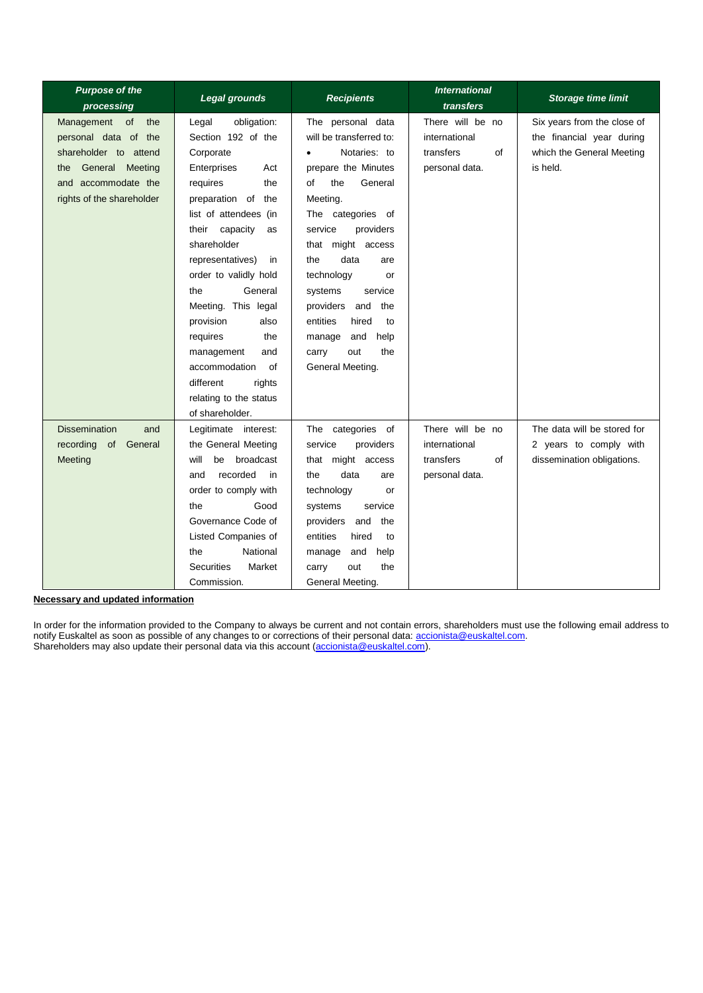| <b>Purpose of the</b><br>processing | <b>Legal grounds</b>        | <b>Recipients</b>         | <b>International</b><br>transfers | <b>Storage time limit</b>   |
|-------------------------------------|-----------------------------|---------------------------|-----------------------------------|-----------------------------|
| Management<br>the<br>of             | obligation:<br>Legal        | The personal data         | There will be no                  | Six years from the close of |
| personal data of the                | Section 192 of the          | will be transferred to:   | international                     | the financial year during   |
| shareholder to attend               | Corporate                   | Notaries: to<br>$\bullet$ | transfers<br>of                   | which the General Meeting   |
| General Meeting<br>the              | Enterprises<br>Act          | prepare the Minutes       | personal data.                    | is held.                    |
| and accommodate the                 | the<br>requires             | the<br>General<br>οf      |                                   |                             |
| rights of the shareholder           | preparation of the          | Meeting.                  |                                   |                             |
|                                     | list of attendees (in       | The categories of         |                                   |                             |
|                                     | capacity<br>their<br>as     | service<br>providers      |                                   |                             |
|                                     | shareholder                 | that might access         |                                   |                             |
|                                     | representatives)<br>in      | data<br>the<br>are        |                                   |                             |
|                                     | order to validly hold       | technology<br>or          |                                   |                             |
|                                     | the<br>General              | systems<br>service        |                                   |                             |
|                                     | Meeting. This legal         | providers and<br>the      |                                   |                             |
|                                     | provision<br>also           | entities<br>hired<br>to   |                                   |                             |
|                                     | requires<br>the             | and<br>help<br>manage     |                                   |                             |
|                                     | management<br>and           | the<br>out<br>carry       |                                   |                             |
|                                     | accommodation<br>0f         | General Meeting.          |                                   |                             |
|                                     | different<br>rights         |                           |                                   |                             |
|                                     | relating to the status      |                           |                                   |                             |
|                                     | of shareholder.             |                           |                                   |                             |
| <b>Dissemination</b><br>and         | Legitimate interest:        | The categories of         | There will be no                  | The data will be stored for |
| recording of General                | the General Meeting         | service<br>providers      | international                     | 2 years to comply with      |
| Meeting                             | will<br>broadcast<br>be     | that might access         | transfers<br>of                   | dissemination obligations.  |
|                                     | recorded<br>in<br>and       | the<br>data<br>are        | personal data.                    |                             |
|                                     | order to comply with        | technology<br>or          |                                   |                             |
|                                     | the<br>Good                 | service<br>systems        |                                   |                             |
|                                     | Governance Code of          | providers<br>and<br>the   |                                   |                             |
|                                     | Listed Companies of         | entities<br>hired<br>to   |                                   |                             |
|                                     | National<br>the             | and<br>help<br>manage     |                                   |                             |
|                                     | <b>Securities</b><br>Market | out<br>the<br>carry       |                                   |                             |
|                                     | Commission.                 | General Meeting.          |                                   |                             |

**Necessary and updated information**

In order for the information provided to the Company to always be current and not contain errors, shareholders must use the following email address to notify Euskaltel as soon as possible of any changes to or corrections of their personal data[: accionista@euskaltel.com.](mailto:accionista@euskaltel.com) Shareholders may also update their personal data via this account [\(accionista@euskaltel.com\)](mailto:accionista@euskaltel.com).